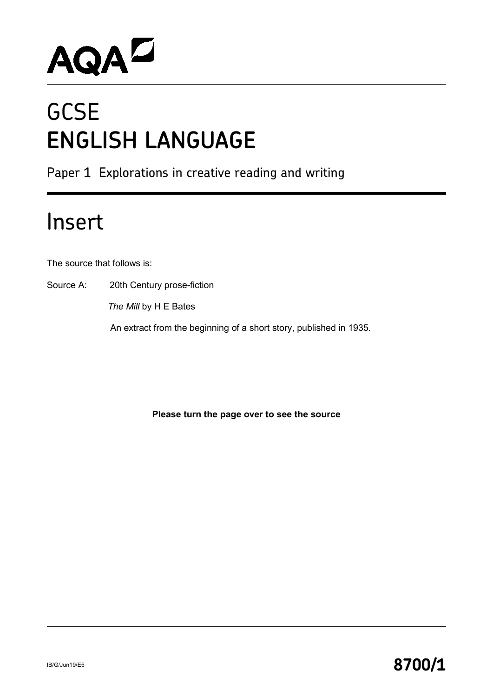

# **GCSE ENGLISH LANGUAGE**

Paper 1 Explorations in creative reading and writing

## Insert

The source that follows is:

Source A: 20th Century prose-fiction

 *The Mill* by H E Bates

An extract from the beginning of a short story, published in 1935.

**Please turn the page over to see the source**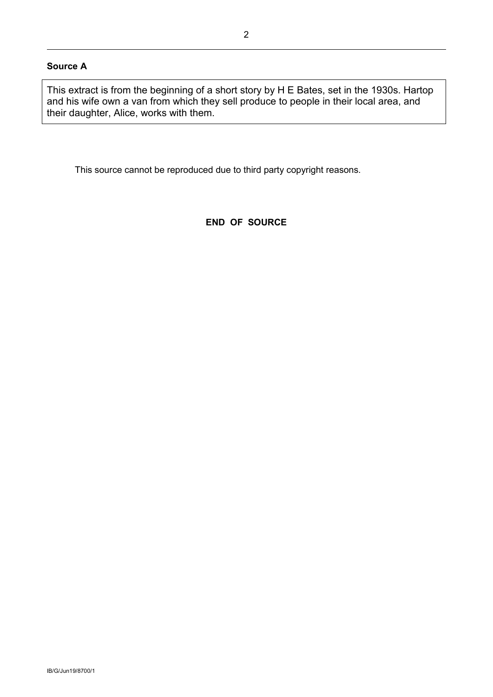#### **Source A**

This extract is from the beginning of a short story by H E Bates, set in the 1930s. Hartop and his wife own a van from which they sell produce to people in their local area, and their daughter, Alice, works with them.

This source cannot be reproduced due to third party copyright reasons.

#### **END OF SOURCE**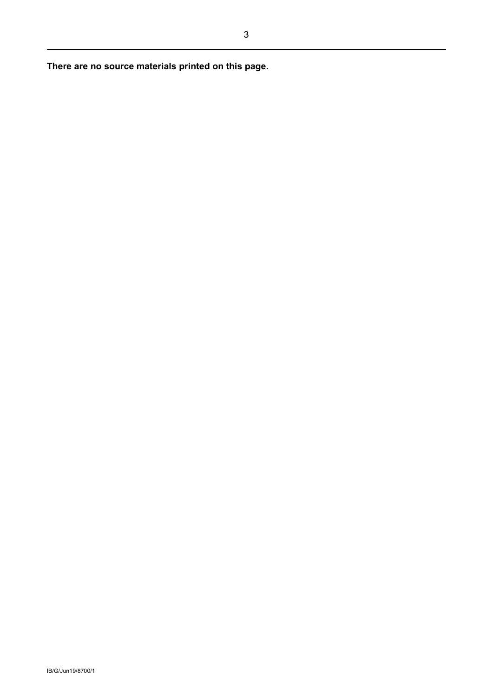**There are no source materials printed on this page.**